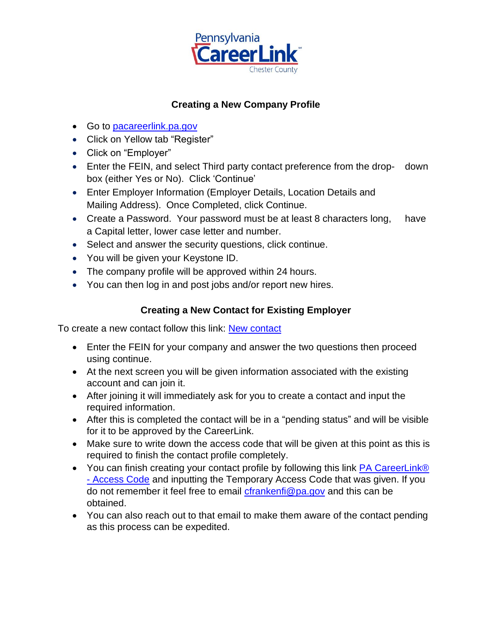

## **Creating a New Company Profile**

- Go to [pacareerlink.pa.gov](http://www.jobgateway.pa.gov/)
- Click on Yellow tab "Register"
- Click on "Employer"
- Enter the FEIN, and select Third party contact preference from the drop- down box (either Yes or No). Click 'Continue'
- Enter Employer Information (Employer Details, Location Details and Mailing Address). Once Completed, click Continue.
- Create a Password. Your password must be at least 8 characters long, have a Capital letter, lower case letter and number.
- Select and answer the security questions, click continue.
- You will be given your Keystone ID.
- The company profile will be approved within 24 hours.
- You can then log in and post jobs and/or report new hires.

## **Creating a New Contact for Existing Employer**

To create a new contact follow this link: [New contact](https://www.pacareerlink.pa.gov/jponline/Admin/Common/IdentifyEmployer.aspx?P9NITLJPbbcZG@MZPZz7TbjjRU45@v4C4FEmLHBfl4E-g9Oz99XwHvRIQFjYh1W5i@P1gSEqdy72TObC3okeq8CRG9fjz195)

- Enter the FEIN for your company and answer the two questions then proceed using continue.
- At the next screen you will be given information associated with the existing account and can join it.
- After joining it will immediately ask for you to create a contact and input the required information.
- After this is completed the contact will be in a "pending status" and will be visible for it to be approved by the CareerLink.
- Make sure to write down the access code that will be given at this point as this is required to finish the contact profile completely.
- You can finish creating your contact profile by following this link PA CareerLink® - [Access Code](https://www.pacareerlink.pa.gov/jponline/Employer/ManageContacts/HintAnswer.aspx) and inputting the Temporary Access Code that was given. If you do not remember it feel free to email [cfrankenfi@pa.gov](mailto:cfrankenfi@pa.gov) and this can be obtained.
- You can also reach out to that email to make them aware of the contact pending as this process can be expedited.